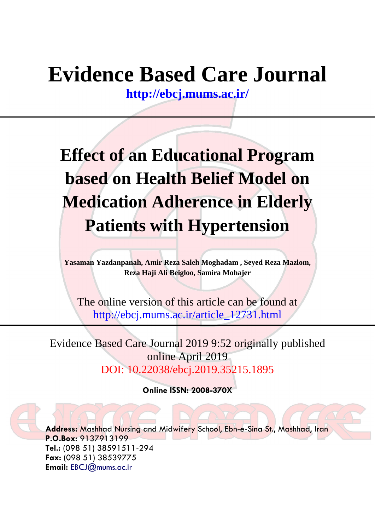## **Evidence Based Care Journal**

**<http://ebcj.mums.ac.ir/>**

# **Effect of an Educational Program based on Health Belief Model on Medication Adherence in Elderly Patients with Hypertension**

**Yasaman Yazdanpanah, Amir Reza Saleh Moghadam , Seyed Reza Mazlom, Reza Haji Ali Beigloo, Samira Mohajer**

The online version of this article can be found at http://ebcj.mums.ac.ir/article\_12731.html

Evidence Based Care Journal 2019 9:52 originally published online April 2019 DOI: 10.22038/ebcj.2019.35215.1895

**Online ISSN: 2008-370X**

**Address:** Mashhad Nursing and Midwifery School, Ebn-e-Sina St., Mashhad, Iran **P.O.Box:** 9137913199 **Tel.:** (098 51) 38591511-294 **Fax:** (098 51) 38539775 **Email:** [EBCJ@mums.ac.ir](mailto:EBCJ@mums.ac.ir)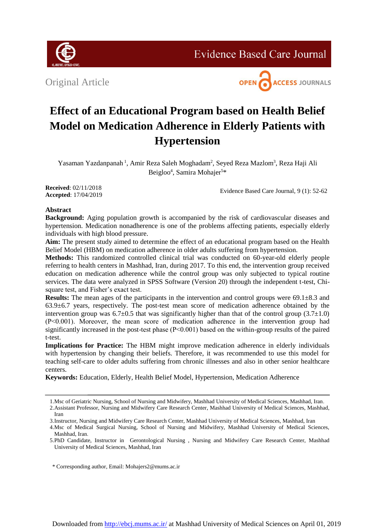

**Evidence Based Care Journal** 

Original Article



### **Effect of an Educational Program based on Health Belief Model on Medication Adherence in Elderly Patients with Hypertension**

Yasaman Yazdanpanah<sup>1</sup>, Amir Reza Saleh Moghadam<sup>2</sup>, Seyed Reza Mazlom<sup>3</sup>, Reza Haji Ali Beigloo<sup>4</sup>, Samira Mohajer<sup>5\*</sup>

**Received**: 02/11/2018 **Accepted**: 17/04/2019

Evidence Based Care Journal, 9 (1): 52-62

### **Abstract**

**Background:** Aging population growth is accompanied by the risk of cardiovascular diseases and hypertension. Medication nonadherence is one of the problems affecting patients, especially elderly individuals with high blood pressure.

**Aim:** The present study aimed to determine the effect of an educational program based on the Health Belief Model (HBM) on medication adherence in older adults suffering from hypertension.

**Methods:** This randomized controlled clinical trial was conducted on 60-year-old elderly people referring to health centers in Mashhad, Iran, during 2017. To this end, the intervention group received education on medication adherence while the control group was only subjected to typical routine services. The data were analyzed in SPSS Software (Version 20) through the independent t-test, Chisquare test, and Fisher's exact test.

**Results:** The mean ages of the participants in the intervention and control groups were  $69.1 \pm 8.3$  and  $63.9\pm6.7$  years, respectively. The post-test mean score of medication adherence obtained by the intervention group was  $6.7\pm0.5$  that was significantly higher than that of the control group (3.7 $\pm$ 1.0) (P˂0.001). Moreover, the mean score of medication adherence in the intervention group had significantly increased in the post-test phase (P˂0.001) based on the within-group results of the paired t-test.

**Implications for Practice:** The HBM might improve medication adherence in elderly individuals with hypertension by changing their beliefs. Therefore, it was recommended to use this model for teaching self-care to older adults suffering from chronic illnesses and also in other senior healthcare centers.

**Keywords:** Education, Elderly, Health Belief Model, Hypertension, Medication Adherence

\* Corresponding author, Email: [Mohajers2@mums.ac.ir](mailto:Mohajers2@mums.ac.ir)

<sup>1.</sup>Msc of Geriatric Nursing, School of Nursing and Midwifery, Mashhad University of Medical Sciences, Mashhad, Iran.

<sup>2.</sup>Assistant Professor, Nursing and Midwifery Care Research Center, Mashhad University of Medical Sciences, Mashhad, Iran

<sup>3.</sup>Instructor, Nursing and Midwifery Care Research Center, Mashhad University of Medical Sciences, Mashhad, Iran

<sup>4.</sup>Msc of Medical Surgical Nursing, School of Nursing and Midwifery, Mashhad University of Medical Sciences, Mashhad, Iran.

<sup>5.</sup>PhD Candidate, Instructor in Gerontological Nursing , Nursing and Midwifery Care Research Center, Mashhad University of Medical Sciences, Mashhad, Iran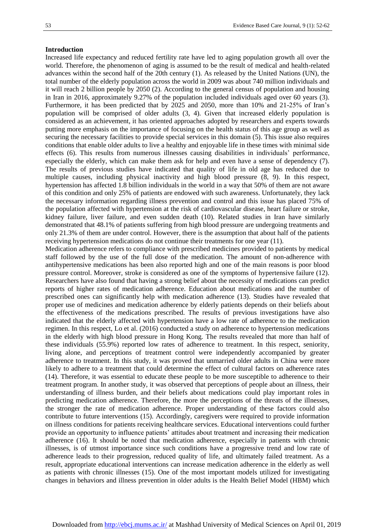#### **Introduction**

Increased life expectancy and reduced fertility rate have led to aging population growth all over the world. Therefore, the phenomenon of aging is assumed to be the result of medical and health-related advances within the second half of the 20th century (1). As released by the United Nations (UN), the total number of the elderly population across the world in 2009 was about 740 million individuals and it will reach 2 billion people by 2050 (2). According to the general census of population and housing in Iran in 2016, approximately 9.27% of the population included individuals aged over 60 years (3). Furthermore, it has been predicted that by 2025 and 2050, more than 10% and 21-25% of Iran's population will be comprised of older adults (3, 4). Given that increased elderly population is considered as an achievement, it has oriented approaches adopted by researchers and experts towards putting more emphasis on the importance of focusing on the health status of this age group as well as securing the necessary facilities to provide special services in this domain (5). This issue also requires conditions that enable older adults to live a healthy and enjoyable life in these times with minimal side effects (6). This results from numerous illnesses causing disabilities in individuals' performance, especially the elderly, which can make them ask for help and even have a sense of dependency (7). The results of previous studies have indicated that quality of life in old age has reduced due to multiple causes, including physical inactivity and high blood pressure (8, 9). In this respect, hypertension has affected 1.8 billion individuals in the world in a way that 50% of them are not aware of this condition and only 25% of patients are endowed with such awareness. Unfortunately, they lack the necessary information regarding illness prevention and control and this issue has placed 75% of the population affected with hypertension at the risk of cardiovascular disease, heart failure or stroke, kidney failure, liver failure, and even sudden death (10). Related studies in Iran have similarly demonstrated that 48.1% of patients suffering from high blood pressure are undergoing treatments and only 21.3% of them are under control. However, there is the assumption that about half of the patients receiving hypertension medications do not continue their treatments for one year (11).

Medication adherence refers to compliance with prescribed medicines provided to patients by medical staff followed by the use of the full dose of the medication. The amount of non-adherence with antihypertensive medications has been also reported high and one of the main reasons is poor blood pressure control. Moreover, stroke is considered as one of the symptoms of hypertensive failure (12). Researchers have also found that having a strong belief about the necessity of medications can predict reports of higher rates of medication adherence. Education about medications and the number of prescribed ones can significantly help with medication adherence (13). Studies have revealed that proper use of medicines and medication adherence by elderly patients depends on their beliefs about the effectiveness of the medications prescribed. The results of previous investigations have also indicated that the elderly affected with hypertension have a low rate of adherence to the medication regimen. In this respect, Lo et al. (2016) conducted a study on adherence to hypertension medications in the elderly with high blood pressure in Hong Kong. The results revealed that more than half of these individuals (55.9%) reported low rates of adherence to treatment. In this respect, seniority, living alone, and perceptions of treatment control were independently accompanied by greater adherence to treatment. In this study, it was proved that unmarried older adults in China were more likely to adhere to a treatment that could determine the effect of cultural factors on adherence rates (14). Therefore, it was essential to educate these people to be more susceptible to adherence to their treatment program. In another study, it was observed that perceptions of people about an illness, their understanding of illness burden, and their beliefs about medications could play important roles in predicting medication adherence. Therefore, the more the perceptions of the threats of the illnesses, the stronger the rate of medication adherence. Proper understanding of these factors could also contribute to future interventions (15). Accordingly, caregivers were required to provide information on illness conditions for patients receiving healthcare services. Educational interventions could further provide an opportunity to influence patients' attitudes about treatment and increasing their medication adherence (16). It should be noted that medication adherence, especially in patients with chronic illnesses, is of utmost importance since such conditions have a progressive trend and low rate of adherence leads to their progression, reduced quality of life, and ultimately failed treatment. As a result, appropriate educational interventions can increase medication adherence in the elderly as well as patients with chronic illnesses (15). One of the most important models utilized for investigating changes in behaviors and illness prevention in older adults is the Health Belief Model (HBM) which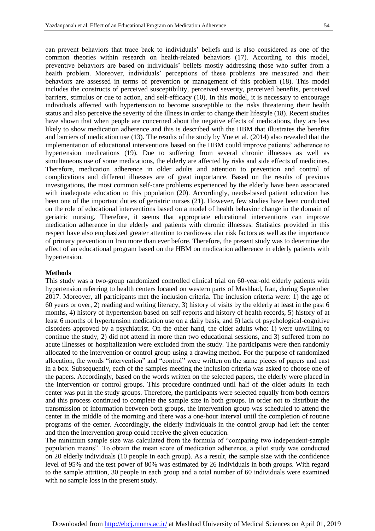can prevent behaviors that trace back to individuals' beliefs and is also considered as one of the common theories within research on health-related behaviors (17). According to this model, preventive behaviors are based on individuals' beliefs mostly addressing those who suffer from a health problem. Moreover, individuals' perceptions of these problems are measured and their behaviors are assessed in terms of prevention or management of this problem (18). This model includes the constructs of perceived susceptibility, perceived severity, perceived benefits, perceived barriers, stimulus or cue to action, and self-efficacy (10). In this model, it is necessary to encourage individuals affected with hypertension to become susceptible to the risks threatening their health status and also perceive the severity of the illness in order to change their lifestyle (18). Recent studies have shown that when people are concerned about the negative effects of medications, they are less likely to show medication adherence and this is described with the HBM that illustrates the benefits and barriers of medication use (13). The results of the study by Yue et al. (2014) also revealed that the implementation of educational interventions based on the HBM could improve patients' adherence to hypertension medications (19). Due to suffering from several chronic illnesses as well as simultaneous use of some medications, the elderly are affected by risks and side effects of medicines. Therefore, medication adherence in older adults and attention to prevention and control of complications and different illnesses are of great importance. Based on the results of previous investigations, the most common self-care problems experienced by the elderly have been associated with inadequate education to this population (20). Accordingly, needs-based patient education has been one of the important duties of geriatric nurses (21). However, few studies have been conducted on the role of educational interventions based on a model of health behavior change in the domain of geriatric nursing. Therefore, it seems that appropriate educational interventions can improve medication adherence in the elderly and patients with chronic illnesses. Statistics provided in this respect have also emphasized greater attention to cardiovascular risk factors as well as the importance of primary prevention in Iran more than ever before. Therefore, the present study was to determine the effect of an educational program based on the HBM on medication adherence in elderly patients with hypertension.

#### **Methods**

This study was a two-group randomized controlled clinical trial on 60-year-old elderly patients with hypertension referring to health centers located on western parts of Mashhad, Iran, during September 2017. Moreover, all participants met the inclusion criteria. The inclusion criteria were: 1) the age of 60 years or over, 2) reading and writing literacy, 3) history of visits by the elderly at least in the past 6 months, 4) history of hypertension based on self-reports and history of health records, 5) history of at least 6 months of hypertension medication use on a daily basis, and 6) lack of psychological-cognitive disorders approved by a psychiatrist. On the other hand, the older adults who: 1) were unwilling to continue the study, 2) did not attend in more than two educational sessions, and 3) suffered from no acute illnesses or hospitalization were excluded from the study. The participants were then randomly allocated to the intervention or control group using a drawing method. For the purpose of randomized allocation, the words "intervention" and "control" were written on the same pieces of papers and cast in a box. Subsequently, each of the samples meeting the inclusion criteria was asked to choose one of the papers. Accordingly, based on the words written on the selected papers, the elderly were placed in the intervention or control groups. This procedure continued until half of the older adults in each center was put in the study groups. Therefore, the participants were selected equally from both centers and this process continued to complete the sample size in both groups. In order not to distribute the transmission of information between both groups, the intervention group was scheduled to attend the center in the middle of the morning and there was a one-hour interval until the completion of routine programs of the center. Accordingly, the elderly individuals in the control group had left the center and then the intervention group could receive the given education.

The minimum sample size was calculated from the formula of "comparing two independent-sample population means". To obtain the mean score of medication adherence, a pilot study was conducted on 20 elderly individuals (10 people in each group). As a result, the sample size with the confidence level of 95% and the test power of 80% was estimated by 26 individuals in both groups. With regard to the sample attrition, 30 people in each group and a total number of 60 individuals were examined with no sample loss in the present study.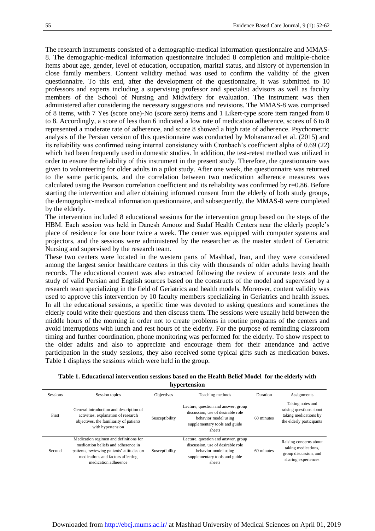The research instruments consisted of a demographic-medical information questionnaire and MMAS-8. The demographic-medical information questionnaire included 8 completion and multiple-choice items about age, gender, level of education, occupation, marital status, and history of hypertension in close family members. Content validity method was used to confirm the validity of the given questionnaire. To this end, after the development of the questionnaire, it was submitted to 10 professors and experts including a supervising professor and specialist advisors as well as faculty members of the School of Nursing and Midwifery for evaluation. The instrument was then administered after considering the necessary suggestions and revisions. The MMAS-8 was comprised of 8 items, with 7 Yes (score one)-No (score zero) items and 1 Likert-type score item ranged from 0 to 8. Accordingly, a score of less than 6 indicated a low rate of medication adherence, scores of 6 to 8 represented a moderate rate of adherence, and score 8 showed a high rate of adherence. Psychometric analysis of the Persian version of this questionnaire was conducted by Moharamzad et al. (2015) and its reliability was confirmed using internal consistency with Cronbach's coefficient alpha of 0.69 (22) which had been frequently used in domestic studies. In addition, the test-retest method was utilized in order to ensure the reliability of this instrument in the present study. Therefore, the questionnaire was given to volunteering for older adults in a pilot study. After one week, the questionnaire was returned to the same participants, and the correlation between two medication adherence measures was calculated using the Pearson correlation coefficient and its reliability was confirmed by r=0.86. Before starting the intervention and after obtaining informed consent from the elderly of both study groups, the demographic-medical information questionnaire, and subsequently, the MMAS-8 were completed by the elderly.

The intervention included 8 educational sessions for the intervention group based on the steps of the HBM. Each session was held in Danesh Amooz and Sadaf Health Centers near the elderly people's place of residence for one hour twice a week. The center was equipped with computer systems and projectors, and the sessions were administered by the researcher as the master student of Geriatric Nursing and supervised by the research team.

These two centers were located in the western parts of Mashhad, Iran, and they were considered among the largest senior healthcare centers in this city with thousands of older adults having health records. The educational content was also extracted following the review of accurate texts and the study of valid Persian and English sources based on the constructs of the model and supervised by a research team specializing in the field of Geriatrics and health models. Moreover, content validity was used to approve this intervention by 10 faculty members specializing in Geriatrics and health issues. In all the educational sessions, a specific time was devoted to asking questions and sometimes the elderly could write their questions and then discuss them. The sessions were usually held between the middle hours of the morning in order not to create problems in routine programs of the centers and avoid interruptions with lunch and rest hours of the elderly. For the purpose of reminding classroom timing and further coordination, phone monitoring was performed for the elderly. To show respect to the older adults and also to appreciate and encourage them for their attendance and active participation in the study sessions, they also received some typical gifts such as medication boxes. Table 1 displays the sessions which were held in the group.

| Table 1. Educational intervention sessions based on the Health Belief Model for the elderly with |  |
|--------------------------------------------------------------------------------------------------|--|
| hypertension                                                                                     |  |

| <b>Sessions</b> | Session topics                                                                                                                                                                           | Objectives     | Teaching methods                                                                                                                            | Duration   | Assignments                                                                                      |
|-----------------|------------------------------------------------------------------------------------------------------------------------------------------------------------------------------------------|----------------|---------------------------------------------------------------------------------------------------------------------------------------------|------------|--------------------------------------------------------------------------------------------------|
| First           | General introduction and description of<br>activities, explanation of research<br>objectives, the familiarity of patients<br>with hypertension                                           | Susceptibility | Lecture, question and answer, group<br>discussion, use of desirable role<br>behavior model using<br>supplementary tools and guide<br>sheets |            | Taking notes and<br>raising questions about<br>taking medications by<br>the elderly participants |
| Second          | Medication regimen and definitions for<br>medication beliefs and adherence in<br>patients, reviewing patients' attitudes on<br>medications and factors affecting<br>medication adherence | Susceptibility | Lecture, question and answer, group<br>discussion, use of desirable role<br>behavior model using<br>supplementary tools and guide<br>sheets | 60 minutes | Raising concerns about<br>taking medications,<br>group discussion, and<br>sharing experiences    |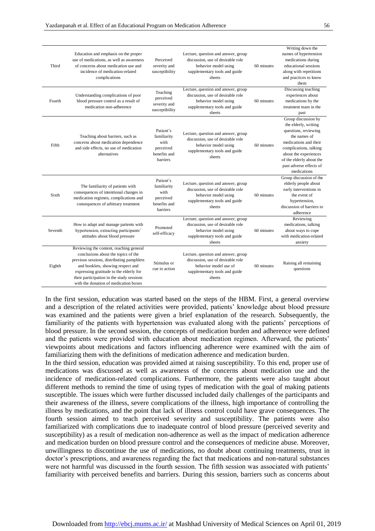| Third   | Education and emphasis on the proper<br>use of medications, as well as awareness<br>of concerns about medication use and<br>incidence of medication-related<br>complications                                                                                                                      | Perceived<br>severity and<br>susceptibility                               | Lecture, question and answer, group<br>discussion, use of desirable role<br>behavior model using<br>supplementary tools and guide<br>sheets  | 60 minutes | Writing down the<br>names of hypertension<br>medications during<br>educational sessions<br>along with repetitions<br>and practices to know<br>them                                                                                    |
|---------|---------------------------------------------------------------------------------------------------------------------------------------------------------------------------------------------------------------------------------------------------------------------------------------------------|---------------------------------------------------------------------------|----------------------------------------------------------------------------------------------------------------------------------------------|------------|---------------------------------------------------------------------------------------------------------------------------------------------------------------------------------------------------------------------------------------|
| Fourth  | Understanding complications of poor<br>blood pressure control as a result of<br>medication non-adherence                                                                                                                                                                                          | Teaching<br>perceived<br>severity and<br>susceptibility                   | Lecture, question and answer, group<br>discussion, use of desirable role<br>behavior model using<br>supplementary tools and guide<br>sheets  | 60 minutes | Discussing teaching<br>experiences about<br>medications by the<br>treatment team in the<br>past                                                                                                                                       |
| Fifth   | Teaching about barriers, such as<br>concerns about medication dependence<br>and side effects, no use of medication<br>alternatives                                                                                                                                                                | Patient's<br>familiarity<br>with<br>perceived<br>benefits and<br>barriers | Lecture, question and answer, group<br>discussion, use of desirable role<br>behavior model using<br>supplementary tools and guide<br>sheets  | 60 minutes | Group discussion by<br>the elderly, writing<br>questions, reviewing<br>the names of<br>medications and their<br>complications, talking<br>about the experiences<br>of the elderly about the<br>past adverse effects of<br>medications |
| Sixth   | The familiarity of patients with<br>consequences of intentional changes in<br>medication regimen, complications and<br>consequences of arbitrary treatment                                                                                                                                        | Patient's<br>familiarity<br>with<br>perceived<br>benefits and<br>barriers | Lecture, question and answer, group<br>discussion, use of desirable role<br>behavior model using<br>supplementary tools and guide<br>sheets  | 60 minutes | Group discussion of the<br>elderly people about<br>early interventions in<br>the event of<br>hypertension,<br>discussion of barriers to<br>adherence                                                                                  |
| Seventh | How to adapt and manage patients with<br>hypertension, extracting participants'<br>attitudes about blood pressure                                                                                                                                                                                 | Promoted<br>self-efficacy                                                 | Lecture, question and answer, group<br>discussion, use of desirable role<br>behavior model using<br>supplementary tools and guide<br>sheets  | 60 minutes | Reviewing<br>medications, talking<br>about ways to cope<br>with medication-related<br>anxiety                                                                                                                                         |
| Eighth  | Reviewing the content, reaching general<br>conclusions about the topics of the<br>previous sessions, distributing pamphlets<br>and booklets, showing respect and<br>expressing gratitude to the elderly for<br>their participation in the study sessions<br>with the donation of medication boxes | Stimulus or<br>cue to action                                              | Lecture, question and answer, group<br>discussion, use of desirable role<br>behavior model use of<br>supplementary tools and guide<br>sheets | 60 minutes | Raising all remaining<br>questions                                                                                                                                                                                                    |

In the first session, education was started based on the steps of the HBM. First, a general overview and a description of the related activities were provided, patients' knowledge about blood pressure was examined and the patients were given a brief explanation of the research. Subsequently, the familiarity of the patients with hypertension was evaluated along with the patients' perceptions of blood pressure. In the second session, the concepts of medication burden and adherence were defined and the patients were provided with education about medication regimen. Afterward, the patients' viewpoints about medications and factors influencing adherence were examined with the aim of familiarizing them with the definitions of medication adherence and medication burden.

In the third session, education was provided aimed at raising susceptibility. To this end, proper use of medications was discussed as well as awareness of the concerns about medication use and the incidence of medication-related complications. Furthermore, the patients were also taught about different methods to remind the time of using types of medication with the goal of making patients susceptible. The issues which were further discussed included daily challenges of the participants and their awareness of the illness, severe complications of the illness, high importance of controlling the illness by medications, and the point that lack of illness control could have grave consequences. The fourth session aimed to teach perceived severity and susceptibility. The patients were also familiarized with complications due to inadequate control of blood pressure (perceived severity and susceptibility) as a result of medication non-adherence as well as the impact of medication adherence and medication burden on blood pressure control and the consequences of medicine abuse. Moreover, unwillingness to discontinue the use of medications, no doubt about continuing treatments, trust in doctor's prescriptions, and awareness regarding the fact that medications and non-natural substances were not harmful was discussed in the fourth session. The fifth session was associated with patients' familiarity with perceived benefits and barriers. During this session, barriers such as concerns about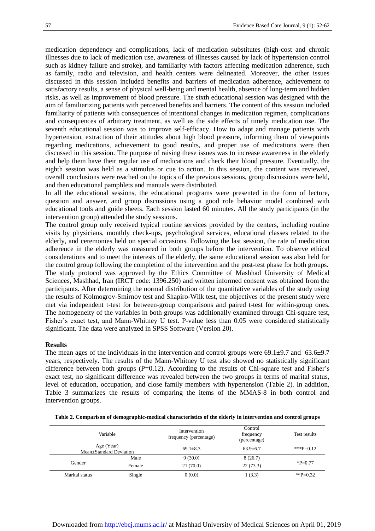medication dependency and complications, lack of medication substitutes (high-cost and chronic illnesses due to lack of medication use, awareness of illnesses caused by lack of hypertension control such as kidney failure and stroke), and familiarity with factors affecting medication adherence, such as family, radio and television, and health centers were delineated. Moreover, the other issues discussed in this session included benefits and barriers of medication adherence, achievement to satisfactory results, a sense of physical well-being and mental health, absence of long-term and hidden risks, as well as improvement of blood pressure. The sixth educational session was designed with the aim of familiarizing patients with perceived benefits and barriers. The content of this session included familiarity of patients with consequences of intentional changes in medication regimen, complications and consequences of arbitrary treatment, as well as the side effects of timely medication use. The seventh educational session was to improve self-efficacy. How to adapt and manage patients with hypertension, extraction of their attitudes about high blood pressure, informing them of viewpoints regarding medications, achievement to good results, and proper use of medications were then discussed in this session. The purpose of raising these issues was to increase awareness in the elderly and help them have their regular use of medications and check their blood pressure. Eventually, the eighth session was held as a stimulus or cue to action. In this session, the content was reviewed, overall conclusions were reached on the topics of the previous sessions, group discussions were held, and then educational pamphlets and manuals were distributed.

In all the educational sessions, the educational programs were presented in the form of lecture, question and answer, and group discussions using a good role behavior model combined with educational tools and guide sheets. Each session lasted 60 minutes. All the study participants (in the intervention group) attended the study sessions.

The control group only received typical routine services provided by the centers, including routine visits by physicians, monthly check-ups, psychological services, educational classes related to the elderly, and ceremonies held on special occasions. Following the last session, the rate of medication adherence in the elderly was measured in both groups before the intervention. To observe ethical considerations and to meet the interests of the elderly, the same educational session was also held for the control group following the completion of the intervention and the post-test phase for both groups. The study protocol was approved by the Ethics Committee of Mashhad University of Medical Sciences, Mashhad, Iran (IRCT code: 1396.250) and written informed consent was obtained from the participants. After determining the normal distribution of the quantitative variables of the study using the results of Kolmogrov-Smirnov test and Shapiro-Wilk test, the objectives of the present study were met via independent t-test for between-group comparisons and paired t-test for within-group ones. The homogeneity of the variables in both groups was additionally examined through Chi-square test, Fisher's exact test, and Mann-Whitney U test. P-value less than 0.05 were considered statistically significant. The data were analyzed in SPSS Software (Version 20).

#### **Results**

The mean ages of the individuals in the intervention and control groups were  $69.1\pm9.7$  and  $63.6\pm9.7$ years, respectively. The results of the Mann-Whitney U test also showed no statistically significant difference between both groups (P=0.12). According to the results of Chi-square test and Fisher's exact test, no significant difference was revealed between the two groups in terms of marital status, level of education, occupation, and close family members with hypertension (Table 2). In addition, Table 3 summarizes the results of comparing the items of the MMAS-8 in both control and intervention groups.

| Variable       |                                       | Intervention<br>frequency (percentage) | Control<br>frequency<br>(percentage) | Test results |
|----------------|---------------------------------------|----------------------------------------|--------------------------------------|--------------|
|                | Age (Year)<br>Mean±Standard Deviation | $69.1 \pm 8.3$                         | $63.9 \pm 6.7$                       | ***P=0.12    |
|                | Male                                  | 9(30.0)                                | 8(26.7)                              |              |
| Gender         | Female                                | 21(70.0)                               | 22(73.3)                             | $*P=0.77$    |
| Marital status | Single                                | 0(0.0)                                 | 1(3.3)                               | ** $P=0.32$  |

**Table 2. Comparison of demographic-medical characteristics of the elderly in intervention and control groups**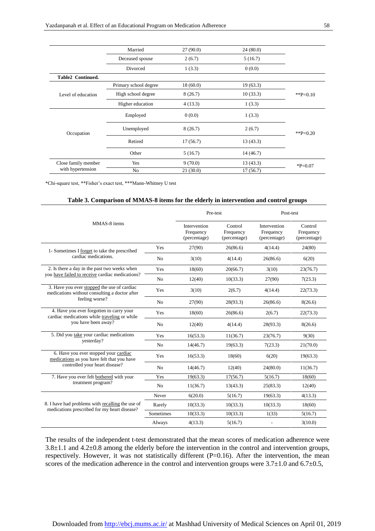|                     | Married               | 27(90.0) | 24(80.0)  |             |
|---------------------|-----------------------|----------|-----------|-------------|
|                     | Deceased spouse       | 2(6.7)   | 5(16.7)   |             |
|                     | Divorced              | 1(3.3)   | 0(0.0)    |             |
| Table2 Continued.   |                       |          |           |             |
|                     | Primary school degree | 18(60.0) | 19(63.3)  |             |
| Level of education  | High school degree    | 8(26.7)  | 10(33.3)  | ** $P=0.10$ |
|                     | Higher education      | 4(13.3)  | 1(3.3)    |             |
| Occupation          | Employed              | 0(0.0)   | 1(3.3)    |             |
|                     | Unemployed            | 8(26.7)  | 2(6.7)    | ** $P=0.20$ |
|                     | Retired               | 17(56.7) | 13(43.3)  |             |
|                     | Other                 | 5(16.7)  | 14 (46.7) |             |
| Close family member | Yes                   | 9(70.0)  | 13(43.3)  | $P = 0.07$  |
| with hypertension   | N <sub>o</sub>        | 21(30.0) | 17(56.7)  |             |

\*Chi-square test, \*\*Fisher's exact test, \*\*\*Mann-Whitney U test

#### **Table 3. Comparison of MMAS-8 items for the elderly in intervention and control groups**

| MMAS-8 items                                                                                     |                | Pre-test                                  |                                      | Post-test                                 |                                      |
|--------------------------------------------------------------------------------------------------|----------------|-------------------------------------------|--------------------------------------|-------------------------------------------|--------------------------------------|
|                                                                                                  |                | Intervention<br>Frequency<br>(percentage) | Control<br>Frequency<br>(percentage) | Intervention<br>Frequency<br>(percentage) | Control<br>Frequency<br>(percentage) |
| 1- Sometimes I forget to take the prescribed                                                     | Yes            | 27(90)                                    | 26(86.6)                             | 4(14.4)                                   | 24(80)                               |
| cardiac medications.                                                                             | No             | 3(10)                                     | 4(14.4)                              | 26(86.6)                                  | 6(20)                                |
| 2. Is there a day in the past two weeks when                                                     | Yes            | 18(60)                                    | 20(66.7)                             | 3(10)                                     | 23(76.7)                             |
| you have failed to receive cardiac medications?                                                  | N <sub>o</sub> | 12(40)                                    | 10(33.3)                             | 27(90)                                    | 7(23.3)                              |
| 3. Have you ever stopped the use of cardiac<br>medications without consulting a doctor after     | Yes            | 3(10)                                     | 2(6.7)                               | 4(14.4)                                   | 22(73.3)                             |
| feeling worse?                                                                                   | N <sub>o</sub> | 27(90)                                    | 28(93.3)                             | 26(86.6)                                  | 8(26.6)                              |
| 4. Have you ever forgotten to carry your<br>cardiac medications while traveling or while         | Yes            | 18(60)                                    | 26(86.6)                             | 2(6.7)                                    | 22(73.3)                             |
| you have been away?                                                                              | No             | 12(40)                                    | 4(14.4)                              | 28(93.3)                                  | 8(26.6)                              |
| 5. Did you take your cardiac medications                                                         | Yes            | 16(53.3)                                  | 11(36.7)                             | 23(76.7)                                  | 9(30)                                |
| yesterday?                                                                                       | No             | 14(46.7)                                  | 19(63.3)                             | 7(23.3)                                   | 21(70.0)                             |
| 6. Have you ever stopped your cardiac<br>medications as you have felt that you have              | Yes            | 16(53.3)                                  | 18(60)                               | 6(20)                                     | 19(63.3)                             |
| controlled your heart disease?                                                                   | No             | 14(46.7)                                  | 12(40)                               | 24(80.0)                                  | 11(36.7)                             |
| 7. Have you ever felt bothered with your                                                         | Yes            | 19(63.3)                                  | 17(56.7)                             | 5(16.7)                                   | 18(60)                               |
| treatment program?                                                                               | N <sub>o</sub> | 11(36.7)                                  | 13(43.3)                             | 25(83.3)                                  | 12(40)                               |
|                                                                                                  | Never          | 6(20.0)                                   | 5(16.7)                              | 19(63.3)                                  | 4(13.3)                              |
| 8. I have had problems with recalling the use of<br>medications prescribed for my heart disease? | Rarely         | 10(33.3)                                  | 10(33.3)                             | 10(33.3)                                  | 18(60)                               |
|                                                                                                  | Sometimes      | 10(33.3)                                  | 10(33.3)                             | 1(33)                                     | 5(16.7)                              |
|                                                                                                  | Always         | 4(13.3)                                   | 5(16.7)                              |                                           | 3(10.0)                              |

The results of the independent t-test demonstrated that the mean scores of medication adherence were 3.8±1.1 and 4.2±0.8 among the elderly before the intervention in the control and intervention groups, respectively. However, it was not statistically different (P=0.16). After the intervention, the mean scores of the medication adherence in the control and intervention groups were  $3.7\pm1.0$  and  $6.7\pm0.5$ ,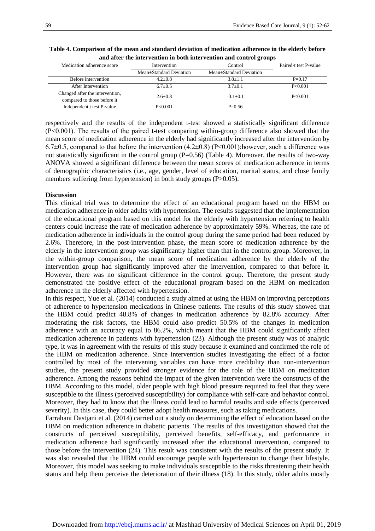| Medication adherence score      | Intervention<br>Control |                         | Paired-t test P-value |
|---------------------------------|-------------------------|-------------------------|-----------------------|
|                                 | Mean±Standard Deviation | Mean+Standard Deviation |                       |
| Before intervention             | $4.2 + 0.8$             | $3.8 + 1.1$             | $P=0.17$              |
| After Intervention              | $6.7+0.5$               | $3.7+0.1$               | $P \le 0.001$         |
| Changed after the intervention, | $2.6 + 0.8$             | $-0.1+0.1$              | $P \le 0.001$         |
| compared to those before it     |                         |                         |                       |
| Independent t test P-value      | $P \le 0.001$           | $P=0.56$                |                       |

**Table 4. Comparison of the mean and standard deviation of medication adherence in the elderly before and after the intervention in both intervention and control groups**

respectively and the results of the independent t-test showed a statistically significant difference (P˂0.001). The results of the paired t-test comparing within-group difference also showed that the mean score of medication adherence in the elderly had significantly increased after the intervention by 6.7 $\pm$ 0.5, compared to that before the intervention (4.2 $\pm$ 0.8) (P<0.001); however, such a difference was not statistically significant in the control group (P=0.56) (Table 4). Moreover, the results of two-way ANOVA showed a significant difference between the mean scores of medication adherence in terms of demographic characteristics (i.e., age, gender, level of education, marital status, and close family members suffering from hypertension) in both study groups (P>0.05).

#### **Discussion**

This clinical trial was to determine the effect of an educational program based on the HBM on medication adherence in older adults with hypertension. The results suggested that the implementation of the educational program based on this model for the elderly with hypertension referring to health centers could increase the rate of medication adherence by approximately 59%. Whereas, the rate of medication adherence in individuals in the control group during the same period had been reduced by 2.6%. Therefore, in the post-intervention phase, the mean score of medication adherence by the elderly in the intervention group was significantly higher than that in the control group. Moreover, in the within-group comparison, the mean score of medication adherence by the elderly of the intervention group had significantly improved after the intervention, compared to that before it. However, there was no significant difference in the control group. Therefore, the present study demonstrated the positive effect of the educational program based on the HBM on medication adherence in the elderly affected with hypertension.

In this respect, Yue et al. (2014) conducted a study aimed at using the HBM on improving perceptions of adherence to hypertension medications in Chinese patients. The results of this study showed that the HBM could predict 48.8% of changes in medication adherence by 82.8% accuracy. After moderating the risk factors, the HBM could also predict 50.5% of the changes in medication adherence with an accuracy equal to 86.2%, which meant that the HBM could significantly affect medication adherence in patients with hypertension (23). Although the present study was of analytic type, it was in agreement with the results of this study because it examined and confirmed the role of the HBM on medication adherence. Since intervention studies investigating the effect of a factor controlled by most of the intervening variables can have more credibility than non-intervention studies, the present study provided stronger evidence for the role of the HBM on medication adherence. Among the reasons behind the impact of the given intervention were the constructs of the HBM. According to this model, older people with high blood pressure required to feel that they were susceptible to the illness (perceived susceptibility) for compliance with self-care and behavior control. Moreover, they had to know that the illness could lead to harmful results and side effects (perceived severity). In this case, they could better adopt health measures, such as taking medications.

Farrahani Dastjani et al. (2014) carried out a study on determining the effect of education based on the HBM on medication adherence in diabetic patients. The results of this investigation showed that the constructs of perceived susceptibility, perceived benefits, self-efficacy, and performance in medication adherence had significantly increased after the educational intervention, compared to those before the intervention (24). This result was consistent with the results of the present study. It was also revealed that the HBM could encourage people with hypertension to change their lifestyle. Moreover, this model was seeking to make individuals susceptible to the risks threatening their health status and help them perceive the deterioration of their illness (18). In this study, older adults mostly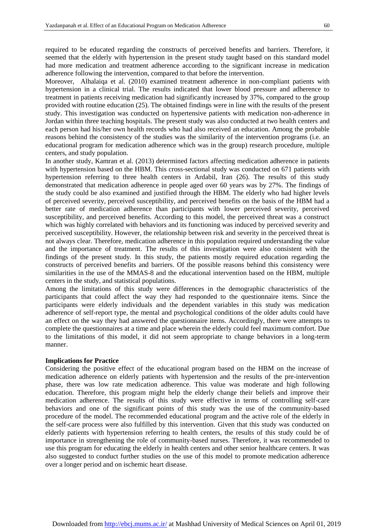required to be educated regarding the constructs of perceived benefits and barriers. Therefore, it seemed that the elderly with hypertension in the present study taught based on this standard model had more medication and treatment adherence according to the significant increase in medication adherence following the intervention, compared to that before the intervention.

Moreover, Alhalaiqa et al. (2010) examined treatment adherence in non-compliant patients with hypertension in a clinical trial. The results indicated that lower blood pressure and adherence to treatment in patients receiving medication had significantly increased by 37%, compared to the group provided with routine education (25). The obtained findings were in line with the results of the present study. This investigation was conducted on hypertensive patients with medication non-adherence in Jordan within three teaching hospitals. The present study was also conducted at two health centers and each person had his/her own health records who had also received an education. Among the probable reasons behind the consistency of the studies was the similarity of the intervention programs (i.e. an educational program for medication adherence which was in the group) research procedure, multiple centers, and study population.

In another study, Kamran et al. (2013) determined factors affecting medication adherence in patients with hypertension based on the HBM. This cross-sectional study was conducted on 671 patients with hypertension referring to three health centers in Ardabil, Iran (26). The results of this study demonstrated that medication adherence in people aged over 60 years was by 27%. The findings of the study could be also examined and justified through the HBM. The elderly who had higher levels of perceived severity, perceived susceptibility, and perceived benefits on the basis of the HBM had a better rate of medication adherence than participants with lower perceived severity, perceived susceptibility, and perceived benefits. According to this model, the perceived threat was a construct which was highly correlated with behaviors and its functioning was induced by perceived severity and perceived susceptibility. However, the relationship between risk and severity in the perceived threat is not always clear. Therefore, medication adherence in this population required understanding the value and the importance of treatment. The results of this investigation were also consistent with the findings of the present study. In this study, the patients mostly required education regarding the constructs of perceived benefits and barriers. Of the possible reasons behind this consistency were similarities in the use of the MMAS-8 and the educational intervention based on the HBM, multiple centers in the study, and statistical populations.

Among the limitations of this study were differences in the demographic characteristics of the participants that could affect the way they had responded to the questionnaire items. Since the participants were elderly individuals and the dependent variables in this study was medication adherence of self-report type, the mental and psychological conditions of the older adults could have an effect on the way they had answered the questionnaire items. Accordingly, there were attempts to complete the questionnaires at a time and place wherein the elderly could feel maximum comfort. Due to the limitations of this model, it did not seem appropriate to change behaviors in a long-term manner.

#### **Implications for Practice**

Considering the positive effect of the educational program based on the HBM on the increase of medication adherence on elderly patients with hypertension and the results of the pre-intervention phase, there was low rate medication adherence. This value was moderate and high following education. Therefore, this program might help the elderly change their beliefs and improve their medication adherence. The results of this study were effective in terms of controlling self-care behaviors and one of the significant points of this study was the use of the community-based procedure of the model. The recommended educational program and the active role of the elderly in the self-care process were also fulfilled by this intervention. Given that this study was conducted on elderly patients with hypertension referring to health centers, the results of this study could be of importance in strengthening the role of community-based nurses. Therefore, it was recommended to use this program for educating the elderly in health centers and other senior healthcare centers. It was also suggested to conduct further studies on the use of this model to promote medication adherence over a longer period and on ischemic heart disease.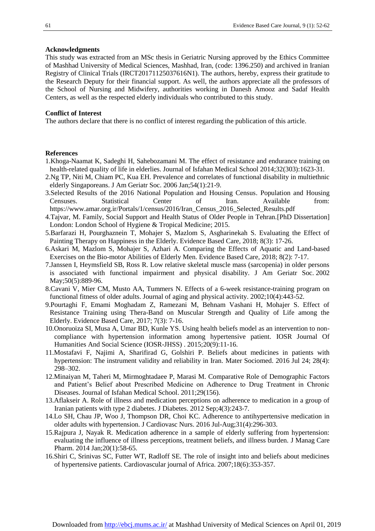#### **Acknowledgments**

This study was extracted from an MSc thesis in Geriatric Nursing approved by the Ethics Committee of Mashhad University of Medical Sciences, Mashhad, Iran, (code: 1396.250) and archived in Iranian Registry of Clinical Trials (IRCT20171125037616N1). The authors, hereby, express their gratitude to the Research Deputy for their financial support. As well, the authors appreciate all the professors of the School of Nursing and Midwifery, authorities working in Danesh Amooz and Sadaf Health Centers, as well as the respected elderly individuals who contributed to this study.

#### **Conflict of Interest**

The authors declare that there is no conflict of interest regarding the publication of this article.

#### **References**

- 1.Khoga-Naamat K, Sadeghi H, Sahebozamani M. The effect of resistance and endurance training on health-related quality of life in elderlies. Journal of Isfahan Medical School 2014;32(303):1623-31.
- 2.Ng TP, Niti M, Chiam PC, Kua EH. Prevalence and correlates of functional disability in multiethnic elderly Singaporeans. [J Am Geriatr Soc.](https://www.ncbi.nlm.nih.gov/pubmed/16420194) 2006 Jan;54(1):21-9.
- 3[.Selected Results of the 2016 National Population and Housing Census.](https://www.amar.org.ir/Portals/1/census/2016/Iran_Census_2016_Selected_Results.pdf) Population and Housing Censuses. Statistical Center of Iran. Available from: https://www.amar.org.ir/Portals/1/census/2016/Iran\_Census\_2016\_Selected\_Results.pdf
- 4.Tajvar, M. Family, Social Support and Health Status of Older People in Tehran.[PhD Dissertation] London: London School of Hygiene & Tropical Medicine; 2015.
- 5.Barfarazi H, Pourghaznein T, Mohajer S, Mazlom S, Asgharinekah S. Evaluating the Effect of Painting Therapy on Happiness in the Elderly. Evidence Based Care, 2018; 8(3): 17-26.
- 6.Askari M, Mazlom S, Mohajer S, Azhari A. Comparing the Effects of Aquatic and Land-based Exercises on the Bio-motor Abilities of Elderly Men. Evidence Based Care, 2018; 8(2): 7-17.
- 7.Janssen I, Heymsfield SB, Ross R. Low relative skeletal muscle mass (sarcopenia) in older persons is associated with functional impairment and physical disability. [J Am Geriatr Soc.](https://www.ncbi.nlm.nih.gov/pubmed/12028177) 2002 May; 50(5): 889-96.
- 8.Cavani V, Mier CM, Musto AA, Tummers N. Effects of a 6-week resistance-training program on functional fitness of older adults. Journal of aging and physical activity. 2002;10(4):443-52.
- 9.Pourtaghi F, Emami Moghadam Z, Ramezani M, Behnam Vashani H, Mohajer S. Effect of Resistance Training using Thera-Band on Muscular Strength and Quality of Life among the Elderly. Evidence Based Care, 2017; 7(3): 7-16.
- 10.Onoruoiza SI, Musa A, Umar BD, Kunle YS. Using health beliefs model as an intervention to noncompliance with hypertension information among hypertensive patient. IOSR Journal Of Humanities And Social Science (IOSR-JHSS) . 2015;20(9):11-16.
- 11.Mostafavi F, Najimi A, Sharifirad G, Golshiri P. Beliefs about medicines in patients with hypertension: The instrument validity and reliability in Iran. [Mater Sociomed.](https://www.ncbi.nlm.nih.gov/pmc/articles/PMC5034995/) 2016 Jul 24; 28(4): 298–302.
- 12.Minaiyan M, Taheri M, Mirmoghtadaee P, Marasi M. Comparative Role of Demographic Factors and Patient's Belief about Prescribed Medicine on Adherence to Drug Treatment in Chronic Diseases. Journal of Isfahan Medical School. 2011;29(156).
- 13.Aflakseir A. Role of illness and medication perceptions on adherence to medication in a group of Iranian patients with type 2 diabetes. [J Diabetes.](https://www.ncbi.nlm.nih.gov/pubmed/22221835) 2012 Sep;4(3):243-7.
- 14.Lo SH, Chau JP, Woo J, Thompson DR, Choi KC. Adherence to antihypertensive medication in older adults with hypertension. [J Cardiovasc Nurs.](https://www.ncbi.nlm.nih.gov/pubmed/25774846) 2016 Jul-Aug;31(4):296-303.
- 15.Rajpura J, Nayak R. Medication adherence in a sample of elderly suffering from hypertension: evaluating the influence of illness perceptions, treatment beliefs, and illness burden. [J Manag Care](https://www.ncbi.nlm.nih.gov/pubmed/24511766)  [Pharm.](https://www.ncbi.nlm.nih.gov/pubmed/24511766) 2014 Jan;20(1):58-65.
- 16.Shiri C, Srinivas SC, Futter WT, Radloff SE. The role of insight into and beliefs about medicines of hypertensive patients. Cardiovascular journal of Africa. 2007;18(6):353-357.